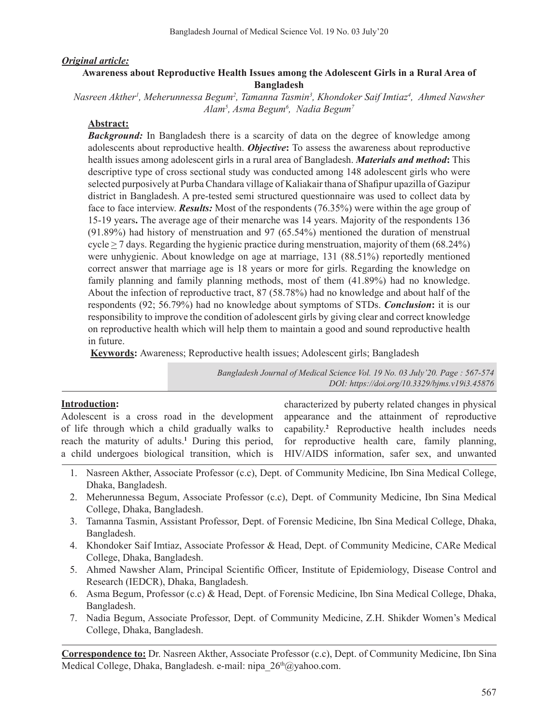### *Original article:*

### **Awareness about Reproductive Health Issues among the Adolescent Girls in a Rural Area of Bangladesh**

*Nasreen Akther1 , Meherunnessa Begum2 , Tamanna Tasmin3 , Khondoker Saif Imtiaz4 , Ahmed Nawsher Alam5 , Asma Begum6 , Nadia Begum7*

### **Abstract:**

**Background:** In Bangladesh there is a scarcity of data on the degree of knowledge among adolescents about reproductive health. *Objective***:** To assess the awareness about reproductive health issues among adolescent girls in a rural area of Bangladesh. *Materials and method***:** This descriptive type of cross sectional study was conducted among 148 adolescent girls who were selected purposively at Purba Chandara village of Kaliakair thana of Shafipur upazilla of Gazipur district in Bangladesh. A pre-tested semi structured questionnaire was used to collect data by face to face interview. *Results:* Most of the respondents (76.35%) were within the age group of 15-19 years**.** The average age of their menarche was 14 years. Majority of the respondents 136 (91.89%) had history of menstruation and 97 (65.54%) mentioned the duration of menstrual cycle  $\geq$  7 days. Regarding the hygienic practice during menstruation, majority of them (68.24%) were unhygienic. About knowledge on age at marriage, 131 (88.51%) reportedly mentioned correct answer that marriage age is 18 years or more for girls. Regarding the knowledge on family planning and family planning methods, most of them (41.89%) had no knowledge. About the infection of reproductive tract, 87 (58.78%) had no knowledge and about half of the respondents (92; 56.79%) had no knowledge about symptoms of STDs. *Conclusion***:** it is our responsibility to improve the condition of adolescent girls by giving clear and correct knowledge on reproductive health which will help them to maintain a good and sound reproductive health in future.

**Keywords:** Awareness; Reproductive health issues; Adolescent girls; Bangladesh

*Bangladesh Journal of Medical Science Vol. 19 No. 03 July'20. Page : 567-574 DOI: https://doi.org/10.3329/bjms.v19i3.45876*

### **Introduction:**

Adolescent is a cross road in the development of life through which a child gradually walks to reach the maturity of adults.**<sup>1</sup>** During this period, a child undergoes biological transition, which is

characterized by puberty related changes in physical appearance and the attainment of reproductive capability.**<sup>2</sup>** Reproductive health includes needs for reproductive health care, family planning, HIV/AIDS information, safer sex, and unwanted

- 1. Nasreen Akther, Associate Professor (c.c), Dept. of Community Medicine, Ibn Sina Medical College, Dhaka, Bangladesh.
- 2. Meherunnessa Begum, Associate Professor (c.c), Dept. of Community Medicine, Ibn Sina Medical College, Dhaka, Bangladesh.
- 3. Tamanna Tasmin, Assistant Professor, Dept. of Forensic Medicine, Ibn Sina Medical College, Dhaka, Bangladesh.
- 4. Khondoker Saif Imtiaz, Associate Professor & Head, Dept. of Community Medicine, CARe Medical College, Dhaka, Bangladesh.
- 5. Ahmed Nawsher Alam, Principal Scientific Officer, Institute of Epidemiology, Disease Control and Research (IEDCR), Dhaka, Bangladesh.
- 6. Asma Begum, Professor (c.c) & Head, Dept. of Forensic Medicine, Ibn Sina Medical College, Dhaka, Bangladesh.
- 7. Nadia Begum, Associate Professor, Dept. of Community Medicine, Z.H. Shikder Women's Medical College, Dhaka, Bangladesh.

**Correspondence to:** Dr. Nasreen Akther, Associate Professor (c.c), Dept. of Community Medicine, Ibn Sina Medical College, Dhaka, Bangladesh. e-mail: nipa\_26<sup>th</sup>@yahoo.com.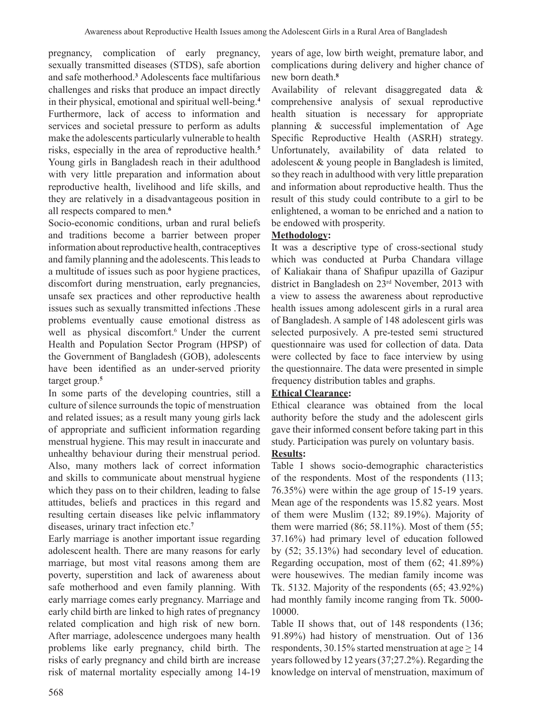pregnancy, complication of early pregnancy, sexually transmitted diseases (STDS), safe abortion and safe motherhood.**<sup>3</sup>** Adolescents face multifarious challenges and risks that produce an impact directly in their physical, emotional and spiritual well-being.**<sup>4</sup>** Furthermore, lack of access to information and services and societal pressure to perform as adults make the adolescents particularly vulnerable to health risks, especially in the area of reproductive health.**<sup>5</sup>** Young girls in Bangladesh reach in their adulthood with very little preparation and information about reproductive health, livelihood and life skills, and they are relatively in a disadvantageous position in all respects compared to men.**<sup>6</sup>**

Socio-economic conditions, urban and rural beliefs and traditions become a barrier between proper information about reproductive health, contraceptives and family planning and the adolescents. This leads to a multitude of issues such as poor hygiene practices, discomfort during menstruation, early pregnancies, unsafe sex practices and other reproductive health issues such as sexually transmitted infections .These problems eventually cause emotional distress as well as physical discomfort.<sup>6</sup> Under the current Health and Population Sector Program (HPSP) of the Government of Bangladesh (GOB), adolescents have been identified as an under-served priority target group.**<sup>5</sup>**

In some parts of the developing countries, still a culture of silence surrounds the topic of menstruation and related issues; as a result many young girls lack of appropriate and sufficient information regarding menstrual hygiene. This may result in inaccurate and unhealthy behaviour during their menstrual period. Also, many mothers lack of correct information and skills to communicate about menstrual hygiene which they pass on to their children, leading to false attitudes, beliefs and practices in this regard and resulting certain diseases like pelvic inflammatory diseases, urinary tract infection etc.**<sup>7</sup>**

Early marriage is another important issue regarding adolescent health. There are many reasons for early marriage, but most vital reasons among them are poverty, superstition and lack of awareness about safe motherhood and even family planning. With early marriage comes early pregnancy. Marriage and early child birth are linked to high rates of pregnancy related complication and high risk of new born. After marriage, adolescence undergoes many health problems like early pregnancy, child birth. The risks of early pregnancy and child birth are increase risk of maternal mortality especially among 14-19

years of age, low birth weight, premature labor, and complications during delivery and higher chance of new born death.**<sup>8</sup>**

Availability of relevant disaggregated data & comprehensive analysis of sexual reproductive health situation is necessary for appropriate planning & successful implementation of Age Specific Reproductive Health (ASRH) strategy. Unfortunately, availability of data related to adolescent & young people in Bangladesh is limited, so they reach in adulthood with very little preparation and information about reproductive health. Thus the result of this study could contribute to a girl to be enlightened, a woman to be enriched and a nation to be endowed with prosperity.

## **Methodology:**

It was a descriptive type of cross-sectional study which was conducted at Purba Chandara village of Kaliakair thana of Shafipur upazilla of Gazipur district in Bangladesh on 23rd November, 2013 with a view to assess the awareness about reproductive health issues among adolescent girls in a rural area of Bangladesh. A sample of 148 adolescent girls was selected purposively. A pre-tested semi structured questionnaire was used for collection of data. Data were collected by face to face interview by using the questionnaire. The data were presented in simple frequency distribution tables and graphs.

## **Ethical Clearance:**

Ethical clearance was obtained from the local authority before the study and the adolescent girls gave their informed consent before taking part in this study. Participation was purely on voluntary basis.

## **Results:**

Table I shows socio-demographic characteristics of the respondents. Most of the respondents (113; 76.35%) were within the age group of 15-19 years. Mean age of the respondents was 15.82 years. Most of them were Muslim (132; 89.19%). Majority of them were married  $(86; 58.11\%)$ . Most of them  $(55;$ 37.16%) had primary level of education followed by (52; 35.13%) had secondary level of education. Regarding occupation, most of them (62; 41.89%) were housewives. The median family income was Tk. 5132. Majority of the respondents (65; 43.92%) had monthly family income ranging from Tk. 5000- 10000.

Table II shows that, out of 148 respondents (136; 91.89%) had history of menstruation. Out of 136 respondents, 30.15% started menstruation at age  $\geq$  14 years followed by 12 years  $(37;27.2%)$ . Regarding the knowledge on interval of menstruation, maximum of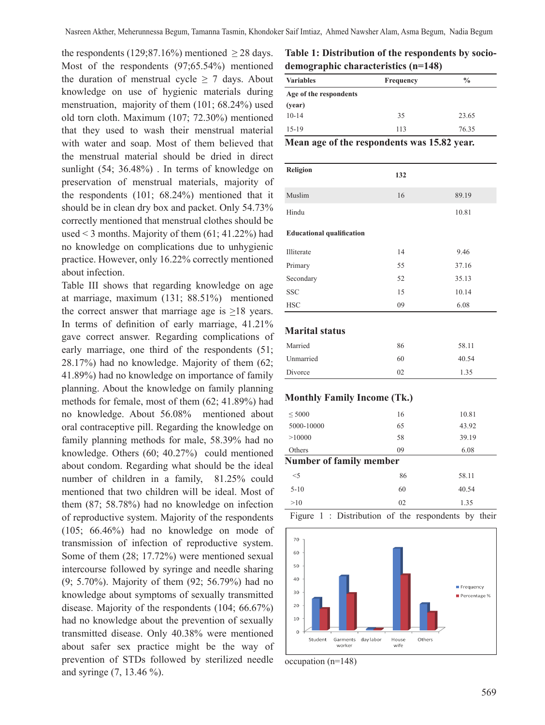the respondents (129;87.16%) mentioned  $\geq$  28 days. Most of the respondents (97;65.54%) mentioned the duration of menstrual cycle  $\geq$  7 days. About knowledge on use of hygienic materials during menstruation, majority of them (101; 68.24%) used old torn cloth. Maximum (107; 72.30%) mentioned that they used to wash their menstrual material with water and soap. Most of them believed that the menstrual material should be dried in direct sunlight (54; 36.48%) . In terms of knowledge on preservation of menstrual materials, majority of the respondents (101; 68.24%) mentioned that it should be in clean dry box and packet. Only 54.73% correctly mentioned that menstrual clothes should be used  $\leq$  3 months. Majority of them  $(61; 41.22%)$  had no knowledge on complications due to unhygienic practice. However, only 16.22% correctly mentioned about infection.

Table III shows that regarding knowledge on age at marriage, maximum (131; 88.51%) mentioned the correct answer that marriage age is >18 years. In terms of definition of early marriage, 41.21% gave correct answer. Regarding complications of early marriage, one third of the respondents (51; 28.17%) had no knowledge. Majority of them (62; 41.89%) had no knowledge on importance of family planning. About the knowledge on family planning methods for female, most of them (62; 41.89%) had no knowledge. About 56.08% mentioned about oral contraceptive pill. Regarding the knowledge on family planning methods for male, 58.39% had no knowledge. Others (60; 40.27%) could mentioned about condom. Regarding what should be the ideal number of children in a family, 81.25% could mentioned that two children will be ideal. Most of them (87; 58.78%) had no knowledge on infection of reproductive system. Majority of the respondents (105; 66.46%) had no knowledge on mode of transmission of infection of reproductive system. Some of them (28; 17.72%) were mentioned sexual intercourse followed by syringe and needle sharing (9; 5.70%). Majority of them (92; 56.79%) had no knowledge about symptoms of sexually transmitted disease. Majority of the respondents (104; 66.67%) had no knowledge about the prevention of sexually transmitted disease. Only 40.38% were mentioned about safer sex practice might be the way of prevention of STDs followed by sterilized needle and syringe (7, 13.46 %).

**Table 1: Distribution of the respondents by sociodemographic characteristics (n=148)**

| <b>Variables</b>       | Frequency | $\frac{0}{0}$ |
|------------------------|-----------|---------------|
| Age of the respondents |           |               |
| (year)                 |           |               |
| $10 - 14$              | 35        | 23.65         |
| $15-19$                | 113       | 76.35         |

**Mean age of the respondents was 15.82 year.**

| Religion                           | 132 |       |
|------------------------------------|-----|-------|
| Muslim                             | 16  | 89.19 |
| Hindu                              |     | 10.81 |
| <b>Educational qualification</b>   |     |       |
| Illiterate                         | 14  | 9.46  |
| Primary                            | 55  | 37.16 |
| Secondary                          | 52  | 35.13 |
| <b>SSC</b>                         | 15  | 10.14 |
| <b>HSC</b>                         | 09  | 6.08  |
| <b>Marital status</b>              |     |       |
| Married                            | 86  | 58.11 |
| Unmarried                          | 60  | 40.54 |
| Divorce                            | 02  | 1.35  |
| <b>Monthly Family Income (Tk.)</b> |     |       |
| $\leq$ 5000                        | 16  | 10.81 |

| $\leq 5000$                    | 16 | 10.81 |  |  |
|--------------------------------|----|-------|--|--|
| 5000-10000                     | 65 | 43.92 |  |  |
| >10000                         | 58 | 39.19 |  |  |
| Others                         | 09 | 6.08  |  |  |
| <b>Number of family member</b> |    |       |  |  |
| $<$ 5                          | 86 | 58.11 |  |  |
| $5-10$                         | 60 | 40.54 |  |  |
| >10                            | 02 | 1.35  |  |  |

Figure 1 : Distribution of the respondents by their



occupation (n=148)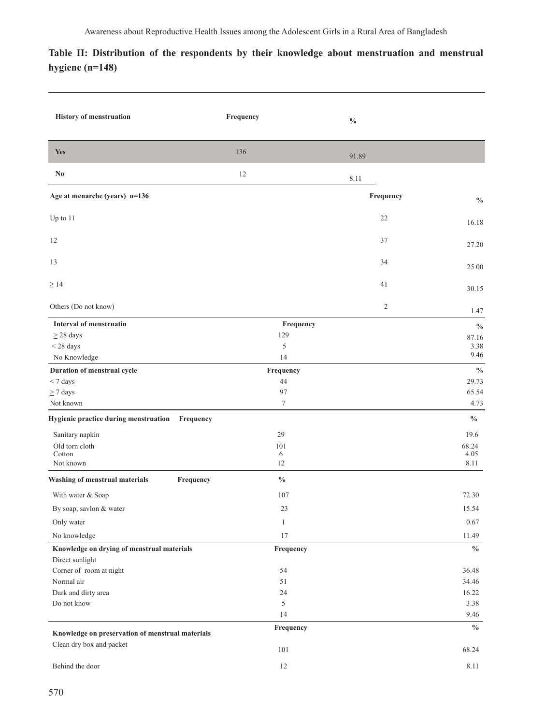# **Table II: Distribution of the respondents by their knowledge about menstruation and menstrual hygiene (n=148)**

| <b>History of menstruation</b>                     | Frequency     | $\frac{0}{0}$ |               |
|----------------------------------------------------|---------------|---------------|---------------|
| <b>Yes</b>                                         | 136           | 91.89         |               |
| N <sub>0</sub>                                     | 12            | 8.11          |               |
| Age at menarche (years) n=136                      |               | Frequency     | $\frac{0}{0}$ |
| Up to 11                                           |               | 22            | 16.18         |
| 12                                                 |               | 37            | 27.20         |
| 13                                                 |               | 34            | 25.00         |
| $\geq$ 14                                          |               | 41            | 30.15         |
| Others (Do not know)                               |               | $\sqrt{2}$    | 1.47          |
| <b>Interval of menstruatin</b>                     | Frequency     |               | $\frac{0}{0}$ |
| $\geq 28$ days                                     | 129           |               | 87.16         |
| $<$ 28 days                                        | 5             |               | 3.38          |
| No Knowledge                                       | 14            |               | 9.46          |
| Duration of menstrual cycle                        | Frequency     |               | $\frac{0}{0}$ |
| $<$ 7 days                                         | 44            |               | 29.73         |
| $\geq$ 7 days                                      | 97            |               | 65.54         |
| Not known                                          | $\tau$        |               | 4.73          |
| Hygienic practice during menstruation<br>Frequency |               |               | $\frac{6}{6}$ |
| Sanitary napkin                                    | 29            |               | 19.6          |
| Old torn cloth                                     | 101           |               | 68.24         |
| Cotton<br>Not known                                | 6<br>12       |               | 4.05<br>8.11  |
|                                                    |               |               |               |
| <b>Washing of menstrual materials</b><br>Frequency | $\frac{0}{0}$ |               |               |
| With water & Soap                                  | 107           |               | 72.30         |
| By soap, savlon & water                            | 23            |               | 15.54         |
| Only water                                         | $\mathbf{1}$  |               | 0.67          |
| No knowledge                                       | 17            |               | 11.49         |
| Knowledge on drying of menstrual materials         | Frequency     |               | $\frac{0}{0}$ |
| Direct sunlight                                    |               |               |               |
| Corner of room at night                            | 54            |               | 36.48         |
| Normal air                                         | 51            |               | 34.46         |
| Dark and dirty area                                | 24            |               | 16.22         |
| Do not know                                        | 5             |               | 3.38          |
|                                                    | 14            |               | 9.46          |
| Knowledge on preservation of menstrual materials   | Frequency     |               | $\frac{0}{0}$ |
| Clean dry box and packet                           | 101           |               | 68.24         |
| Behind the door                                    | $12\,$        |               | 8.11          |
|                                                    |               |               |               |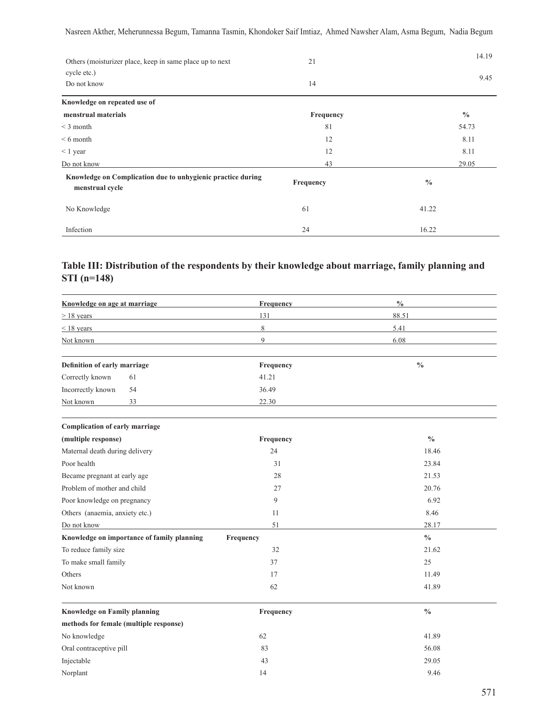| Nasreen Akther, Meherunnessa Begum, Tamanna Tasmin, Khondoker Saif Imtiaz, Ahmed Nawsher Alam, Asma Begum, Nadia Begum |  |  |  |  |  |
|------------------------------------------------------------------------------------------------------------------------|--|--|--|--|--|
|------------------------------------------------------------------------------------------------------------------------|--|--|--|--|--|

| Others (moisturizer place, keep in same place up to next                       | 21        | 14.19         |
|--------------------------------------------------------------------------------|-----------|---------------|
| cycle etc.)<br>Do not know                                                     | 14        | 9.45          |
| Knowledge on repeated use of                                                   |           |               |
| menstrual materials                                                            | Frequency | $\frac{0}{0}$ |
| $\leq$ 3 month                                                                 | 81        | 54.73         |
| $\leq 6$ month                                                                 | 12        | 8.11          |
| $\leq 1$ year                                                                  | 12        | 8.11          |
| Do not know                                                                    | 43        | 29.05         |
| Knowledge on Complication due to unhygienic practice during<br>menstrual cycle | Frequency | $\frac{0}{0}$ |
| No Knowledge                                                                   | 61        | 41.22         |
| Infection                                                                      | 24        | 16.22         |

## **Table III: Distribution of the respondents by their knowledge about marriage, family planning and STI (n=148)**

| Knowledge on age at marriage                                                                                                        | Frequency | $\frac{0}{0}$ |
|-------------------------------------------------------------------------------------------------------------------------------------|-----------|---------------|
| $> 18$ years<br>the control of the control of the control of the control of the control of                                          | 131       | 88.51         |
| $<$ 18 years                                                                                                                        | 8         | 5.41          |
| Not known                                                                                                                           | 9         | 6.08          |
| Definition of early marriage                                                                                                        | Frequency | $\frac{0}{0}$ |
| Correctly known<br>61                                                                                                               | 41.21     |               |
| Incorrectly known<br>54                                                                                                             | 36.49     |               |
| Not known<br>33                                                                                                                     | 22.30     |               |
| <b>Complication of early marriage</b>                                                                                               |           |               |
| (multiple response)                                                                                                                 | Frequency | $\frac{0}{0}$ |
| Maternal death during delivery                                                                                                      | 24        | 18.46         |
| Poor health                                                                                                                         | 31        | 23.84         |
| Became pregnant at early age                                                                                                        | 28        | 21.53         |
| Problem of mother and child                                                                                                         | 27        | 20.76         |
| Poor knowledge on pregnancy                                                                                                         | 9         | 6.92          |
| Others (anaemia, anxiety etc.)                                                                                                      | 11        | 8.46          |
| Do not know                                                                                                                         | 51        | 28.17         |
| Knowledge on importance of family planning                                                                                          | Frequency | $\frac{0}{0}$ |
| To reduce family size                                                                                                               | 32        | 21.62         |
| To make small family                                                                                                                | 37        | 25            |
| Others                                                                                                                              | 17        | 11.49         |
| Not known                                                                                                                           | 62        | 41.89         |
| Knowledge on Family planning                                                                                                        | Frequency | $\frac{0}{0}$ |
| methods for female (multiple response)                                                                                              |           |               |
| $\mathbf{v}$ and $\mathbf{v}$ and $\mathbf{v}$ and $\mathbf{v}$ and $\mathbf{v}$ and $\mathbf{v}$ and $\mathbf{v}$ and $\mathbf{v}$ | $\sim$    | 41.00         |

| No knowledge            | 62 | 41.89 |
|-------------------------|----|-------|
| Oral contraceptive pill | 83 | 56.08 |
| Injectable              | 43 | 29.05 |
| Norplant                | 14 | 9.46  |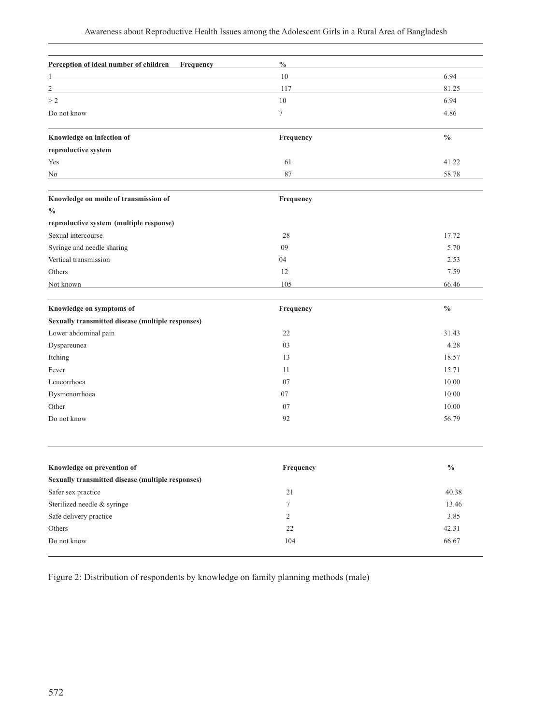|                                                                                                 | $\frac{0}{0}$                                                                                                                                                                                                                              |               |
|-------------------------------------------------------------------------------------------------|--------------------------------------------------------------------------------------------------------------------------------------------------------------------------------------------------------------------------------------------|---------------|
| <b>Perception of ideal number of children</b> Frequency                                         | the control of the control of the control of the control of the control of the control of                                                                                                                                                  |               |
| 1                                                                                               | 10<br><u>and the state of the state of the state of the state of the state of the state of the state of the state of the state of the state of the state of the state of the state of the state of the state of the state of the state</u> | 6.94          |
| 2                                                                                               | 117<br>the contract of the contract of the contract of the contract of                                                                                                                                                                     | 81.25         |
| >2                                                                                              | 10                                                                                                                                                                                                                                         | 6.94          |
| Do not know                                                                                     | 7                                                                                                                                                                                                                                          | 4.86          |
| Knowledge on infection of                                                                       | Frequency                                                                                                                                                                                                                                  | $\frac{0}{0}$ |
| reproductive system                                                                             |                                                                                                                                                                                                                                            |               |
| Yes                                                                                             | 61                                                                                                                                                                                                                                         | 41.22         |
| No<br>the control of the control of the control of the control of the control of the control of | 87                                                                                                                                                                                                                                         | 58.78         |
| Knowledge on mode of transmission of                                                            | Frequency                                                                                                                                                                                                                                  |               |
| $\frac{0}{0}$                                                                                   |                                                                                                                                                                                                                                            |               |
| reproductive system (multiple response)                                                         |                                                                                                                                                                                                                                            |               |
| Sexual intercourse                                                                              | 28                                                                                                                                                                                                                                         | 17.72         |
| Syringe and needle sharing                                                                      | 09                                                                                                                                                                                                                                         | 5.70          |
| Vertical transmission                                                                           | 04                                                                                                                                                                                                                                         | 2.53          |
| Others                                                                                          | 12                                                                                                                                                                                                                                         | 7.59          |
| Not known                                                                                       | 105                                                                                                                                                                                                                                        | 66.46         |
| Knowledge on symptoms of                                                                        | Frequency                                                                                                                                                                                                                                  | $\frac{0}{0}$ |
| Sexually transmitted disease (multiple responses)                                               |                                                                                                                                                                                                                                            |               |
| Lower abdominal pain                                                                            | 22                                                                                                                                                                                                                                         | 31.43         |
| Dyspareunea                                                                                     | 03                                                                                                                                                                                                                                         | 4.28          |
| Itching                                                                                         | 13                                                                                                                                                                                                                                         | 18.57         |
| Fever                                                                                           | 11                                                                                                                                                                                                                                         | 15.71         |
| Leucorrhoea                                                                                     | 07                                                                                                                                                                                                                                         | 10.00         |
| Dysmenorrhoea                                                                                   | 07                                                                                                                                                                                                                                         | 10.00         |
| Other                                                                                           | 07                                                                                                                                                                                                                                         | 10.00         |
| Do not know                                                                                     | 92                                                                                                                                                                                                                                         | 56.79         |
| Knowledge on prevention of                                                                      | Frequency                                                                                                                                                                                                                                  | $\frac{0}{0}$ |
| Sexually transmitted disease (multiple responses)                                               |                                                                                                                                                                                                                                            |               |
| Safer sex practice                                                                              | 21                                                                                                                                                                                                                                         | 40.38         |
| Sterilized needle & syringe                                                                     | $\tau$                                                                                                                                                                                                                                     | 13.46         |
| Safe delivery practice                                                                          | $\overline{2}$                                                                                                                                                                                                                             | 3.85          |
| Others                                                                                          | $22\,$                                                                                                                                                                                                                                     | 42.31         |
|                                                                                                 |                                                                                                                                                                                                                                            |               |
| Do not know                                                                                     | $104\,$                                                                                                                                                                                                                                    | 66.67         |

Figure 2: Distribution of respondents by knowledge on family planning methods (male)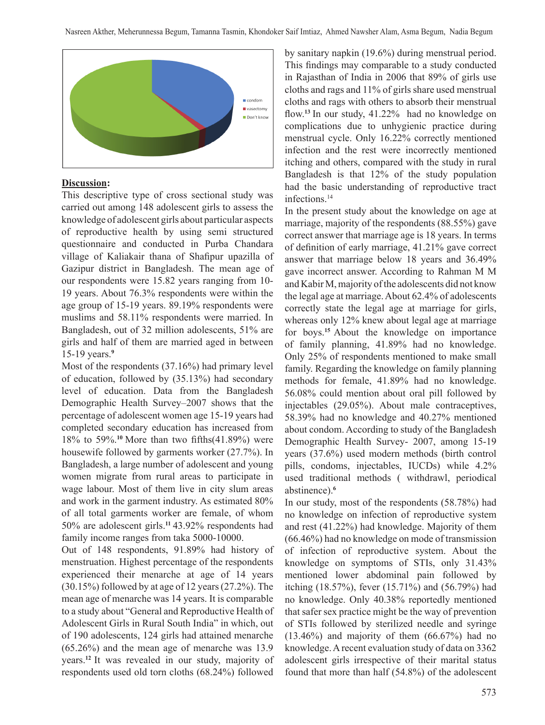

### **Discussion:**

This descriptive type of cross sectional study was carried out among 148 adolescent girls to assess the knowledge of adolescent girls about particular aspects of reproductive health by using semi structured questionnaire and conducted in Purba Chandara village of Kaliakair thana of Shafipur upazilla of Gazipur district in Bangladesh. The mean age of our respondents were 15.82 years ranging from 10- 19 years. About 76.3% respondents were within the age group of 15-19 years. 89.19% respondents were muslims and 58.11% respondents were married. In Bangladesh, out of 32 million adolescents, 51% are girls and half of them are married aged in between 15-19 years.**<sup>9</sup>**

Most of the respondents (37.16%) had primary level of education, followed by (35.13%) had secondary level of education. Data from the Bangladesh Demographic Health Survey–2007 shows that the percentage of adolescent women age 15-19 years had completed secondary education has increased from 18% to 59%.**<sup>10</sup>** More than two fifths(41.89%) were housewife followed by garments worker (27.7%). In Bangladesh, a large number of adolescent and young women migrate from rural areas to participate in wage labour. Most of them live in city slum areas and work in the garment industry. As estimated 80% of all total garments worker are female, of whom 50% are adolescent girls.**<sup>11</sup>** 43.92% respondents had family income ranges from taka 5000-10000.

Out of 148 respondents, 91.89% had history of menstruation. Highest percentage of the respondents experienced their menarche at age of 14 years  $(30.15\%)$  followed by at age of 12 years  $(27.2\%)$ . The mean age of menarche was 14 years. It is comparable to a study about "General and Reproductive Health of Adolescent Girls in Rural South India" in which, out of 190 adolescents, 124 girls had attained menarche (65.26%) and the mean age of menarche was 13.9 years.**<sup>12</sup>** It was revealed in our study, majority of respondents used old torn cloths (68.24%) followed by sanitary napkin (19.6%) during menstrual period. This findings may comparable to a study conducted in Rajasthan of India in 2006 that 89% of girls use cloths and rags and 11% of girls share used menstrual cloths and rags with others to absorb their menstrual flow.**<sup>13</sup>**In our study, 41.22% had no knowledge on complications due to unhygienic practice during menstrual cycle. Only 16.22% correctly mentioned infection and the rest were incorrectly mentioned itching and others, compared with the study in rural Bangladesh is that 12% of the study population had the basic understanding of reproductive tract infections.<sup>14</sup>

In the present study about the knowledge on age at marriage, majority of the respondents (88.55%) gave correct answer that marriage age is 18 years. In terms of definition of early marriage, 41.21% gave correct answer that marriage below 18 years and 36.49% gave incorrect answer. According to Rahman M M and Kabir M, majority of the adolescents did not know the legal age at marriage.About 62.4% of adolescents correctly state the legal age at marriage for girls, whereas only 12% knew about legal age at marriage for boys.**<sup>15</sup>** About the knowledge on importance of family planning, 41.89% had no knowledge. Only 25% of respondents mentioned to make small family. Regarding the knowledge on family planning methods for female, 41.89% had no knowledge. 56.08% could mention about oral pill followed by injectables (29.05%). About male contraceptives, 58.39% had no knowledge and 40.27% mentioned about condom. According to study of the Bangladesh Demographic Health Survey- 2007, among 15-19 years (37.6%) used modern methods (birth control pills, condoms, injectables, IUCDs) while 4.2% used traditional methods ( withdrawl, periodical abstinence).**<sup>6</sup>**

In our study, most of the respondents (58.78%) had no knowledge on infection of reproductive system and rest (41.22%) had knowledge. Majority of them (66.46%) had no knowledge on mode of transmission of infection of reproductive system. About the knowledge on symptoms of STIs, only 31.43% mentioned lower abdominal pain followed by itching (18.57%), fever (15.71%) and (56.79%) had no knowledge. Only 40.38% reportedly mentioned that safer sex practice might be the way of prevention of STIs followed by sterilized needle and syringe (13.46%) and majority of them (66.67%) had no knowledge.Arecent evaluation study of data on 3362 adolescent girls irrespective of their marital status found that more than half (54.8%) of the adolescent